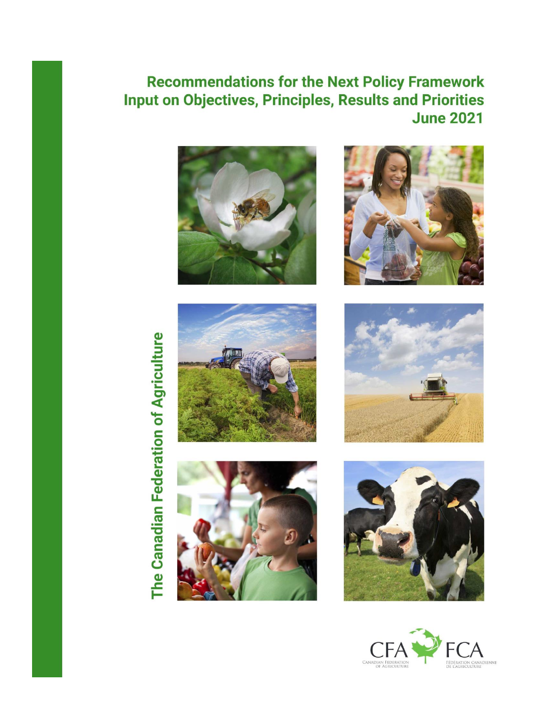# **Recommendations for the Next Policy Framework Input on Objectives, Principles, Results and Priorities June 2021**















The Canadian Federation of Agriculture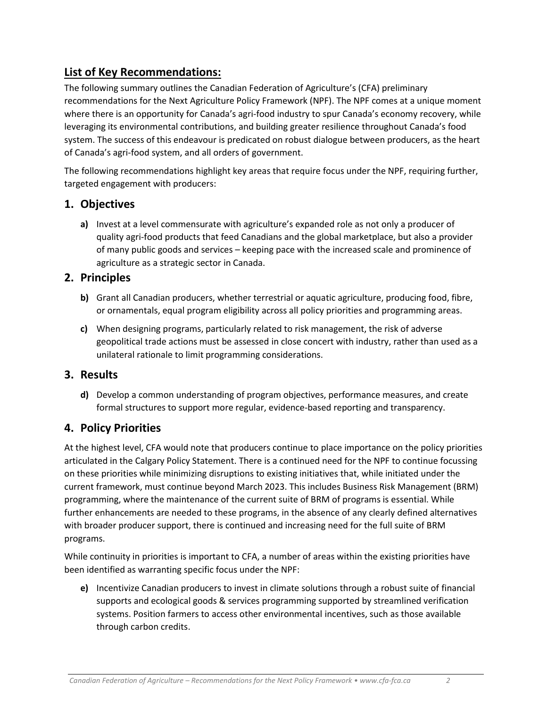# **List of Key Recommendations:**

The following summary outlines the Canadian Federation of Agriculture's (CFA) preliminary recommendations for the Next Agriculture Policy Framework (NPF). The NPF comes at a unique moment where there is an opportunity for Canada's agri-food industry to spur Canada's economy recovery, while leveraging its environmental contributions, and building greater resilience throughout Canada's food system. The success of this endeavour is predicated on robust dialogue between producers, as the heart of Canada's agri-food system, and all orders of government.

The following recommendations highlight key areas that require focus under the NPF, requiring further, targeted engagement with producers:

## **1. Objectives**

**a)** Invest at a level commensurate with agriculture's expanded role as not only a producer of quality agri-food products that feed Canadians and the global marketplace, but also a provider of many public goods and services – keeping pace with the increased scale and prominence of agriculture as a strategic sector in Canada.

## **2. Principles**

- **b)** Grant all Canadian producers, whether terrestrial or aquatic agriculture, producing food, fibre, or ornamentals, equal program eligibility across all policy priorities and programming areas.
- **c)** When designing programs, particularly related to risk management, the risk of adverse geopolitical trade actions must be assessed in close concert with industry, rather than used as a unilateral rationale to limit programming considerations.

## **3. Results**

**d)** Develop a common understanding of program objectives, performance measures, and create formal structures to support more regular, evidence-based reporting and transparency.

## **4. Policy Priorities**

At the highest level, CFA would note that producers continue to place importance on the policy priorities articulated in the Calgary Policy Statement. There is a continued need for the NPF to continue focussing on these priorities while minimizing disruptions to existing initiatives that, while initiated under the current framework, must continue beyond March 2023. This includes Business Risk Management (BRM) programming, where the maintenance of the current suite of BRM of programs is essential. While further enhancements are needed to these programs, in the absence of any clearly defined alternatives with broader producer support, there is continued and increasing need for the full suite of BRM programs.

While continuity in priorities is important to CFA, a number of areas within the existing priorities have been identified as warranting specific focus under the NPF:

**e)** Incentivize Canadian producers to invest in climate solutions through a robust suite of financial supports and ecological goods & services programming supported by streamlined verification systems. Position farmers to access other environmental incentives, such as those available through carbon credits.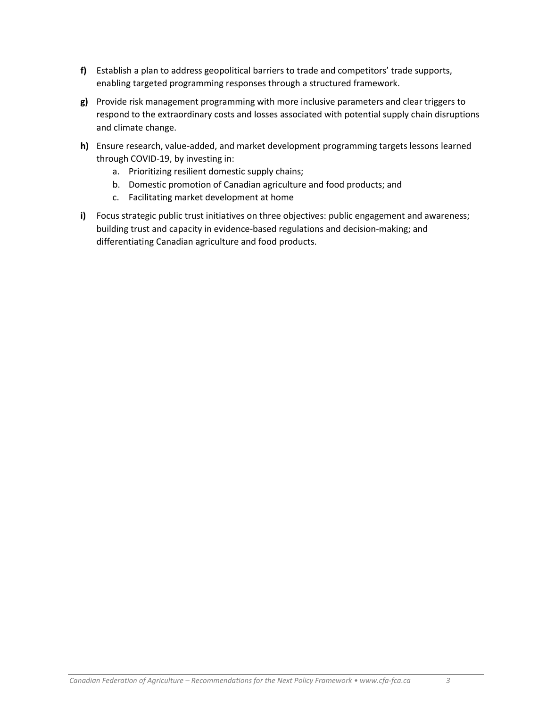- **f)** Establish a plan to address geopolitical barriers to trade and competitors' trade supports, enabling targeted programming responses through a structured framework.
- **g)** Provide risk management programming with more inclusive parameters and clear triggers to respond to the extraordinary costs and losses associated with potential supply chain disruptions and climate change.
- **h)** Ensure research, value-added, and market development programming targets lessons learned through COVID-19, by investing in:
	- a. Prioritizing resilient domestic supply chains;
	- b. Domestic promotion of Canadian agriculture and food products; and
	- c. Facilitating market development at home
- **i)** Focus strategic public trust initiatives on three objectives: public engagement and awareness; building trust and capacity in evidence-based regulations and decision-making; and differentiating Canadian agriculture and food products.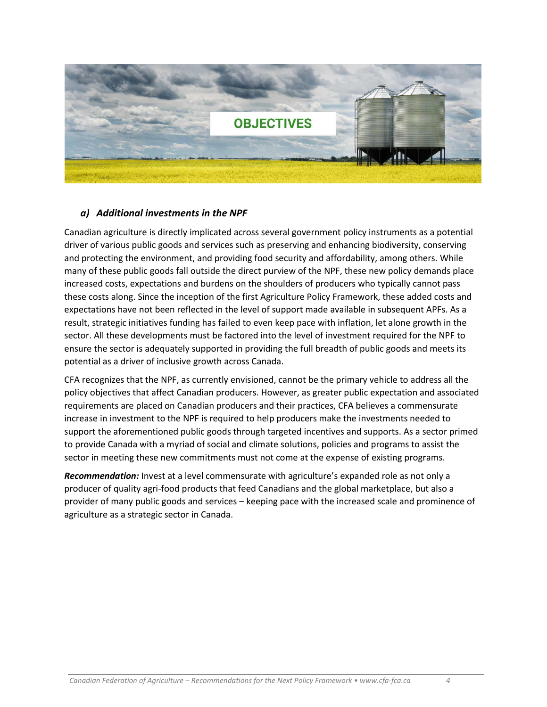

#### *a) Additional investments in the NPF*

Canadian agriculture is directly implicated across several government policy instruments as a potential driver of various public goods and services such as preserving and enhancing biodiversity, conserving and protecting the environment, and providing food security and affordability, among others. While many of these public goods fall outside the direct purview of the NPF, these new policy demands place increased costs, expectations and burdens on the shoulders of producers who typically cannot pass these costs along. Since the inception of the first Agriculture Policy Framework, these added costs and expectations have not been reflected in the level of support made available in subsequent APFs. As a result, strategic initiatives funding has failed to even keep pace with inflation, let alone growth in the sector. All these developments must be factored into the level of investment required for the NPF to ensure the sector is adequately supported in providing the full breadth of public goods and meets its potential as a driver of inclusive growth across Canada.

CFA recognizes that the NPF, as currently envisioned, cannot be the primary vehicle to address all the policy objectives that affect Canadian producers. However, as greater public expectation and associated requirements are placed on Canadian producers and their practices, CFA believes a commensurate increase in investment to the NPF is required to help producers make the investments needed to support the aforementioned public goods through targeted incentives and supports. As a sector primed to provide Canada with a myriad of social and climate solutions, policies and programs to assist the sector in meeting these new commitments must not come at the expense of existing programs.

*Recommendation:* Invest at a level commensurate with agriculture's expanded role as not only a producer of quality agri-food products that feed Canadians and the global marketplace, but also a provider of many public goods and services – keeping pace with the increased scale and prominence of agriculture as a strategic sector in Canada.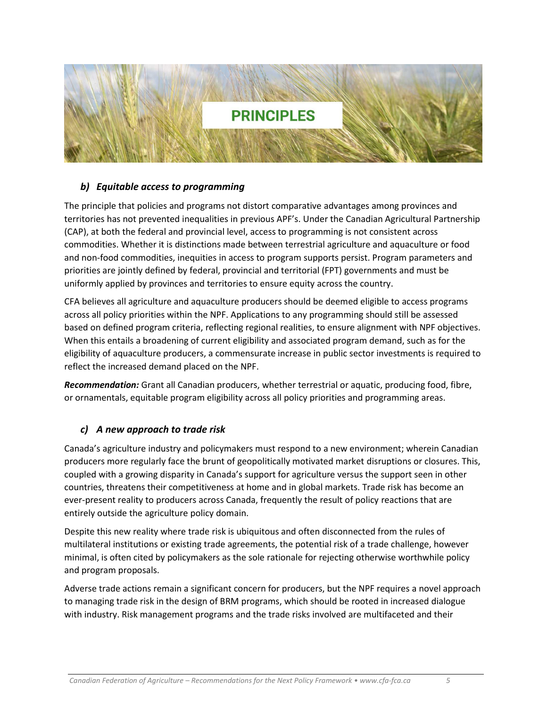

#### *b) Equitable access to programming*

The principle that policies and programs not distort comparative advantages among provinces and territories has not prevented inequalities in previous APF's. Under the Canadian Agricultural Partnership (CAP), at both the federal and provincial level, access to programming is not consistent across commodities. Whether it is distinctions made between terrestrial agriculture and aquaculture or food and non-food commodities, inequities in access to program supports persist. Program parameters and priorities are jointly defined by federal, provincial and territorial (FPT) governments and must be uniformly applied by provinces and territories to ensure equity across the country.

CFA believes all agriculture and aquaculture producers should be deemed eligible to access programs across all policy priorities within the NPF. Applications to any programming should still be assessed based on defined program criteria, reflecting regional realities, to ensure alignment with NPF objectives. When this entails a broadening of current eligibility and associated program demand, such as for the eligibility of aquaculture producers, a commensurate increase in public sector investments is required to reflect the increased demand placed on the NPF.

*Recommendation:* Grant all Canadian producers, whether terrestrial or aquatic, producing food, fibre, or ornamentals, equitable program eligibility across all policy priorities and programming areas.

#### *c) A new approach to trade risk*

Canada's agriculture industry and policymakers must respond to a new environment; wherein Canadian producers more regularly face the brunt of geopolitically motivated market disruptions or closures. This, coupled with a growing disparity in Canada's support for agriculture versus the support seen in other countries, threatens their competitiveness at home and in global markets. Trade risk has become an ever-present reality to producers across Canada, frequently the result of policy reactions that are entirely outside the agriculture policy domain.

Despite this new reality where trade risk is ubiquitous and often disconnected from the rules of multilateral institutions or existing trade agreements, the potential risk of a trade challenge, however minimal, is often cited by policymakers as the sole rationale for rejecting otherwise worthwhile policy and program proposals.

Adverse trade actions remain a significant concern for producers, but the NPF requires a novel approach to managing trade risk in the design of BRM programs, which should be rooted in increased dialogue with industry. Risk management programs and the trade risks involved are multifaceted and their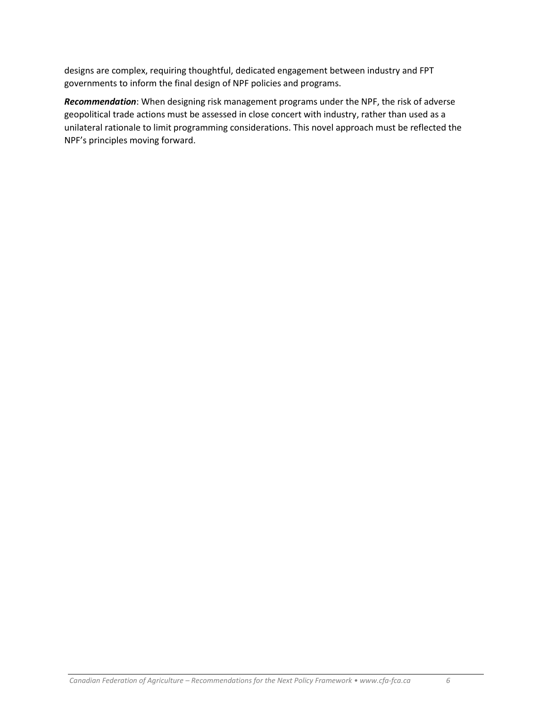designs are complex, requiring thoughtful, dedicated engagement between industry and FPT governments to inform the final design of NPF policies and programs.

*Recommendation*: When designing risk management programs under the NPF, the risk of adverse geopolitical trade actions must be assessed in close concert with industry, rather than used as a unilateral rationale to limit programming considerations. This novel approach must be reflected the NPF's principles moving forward.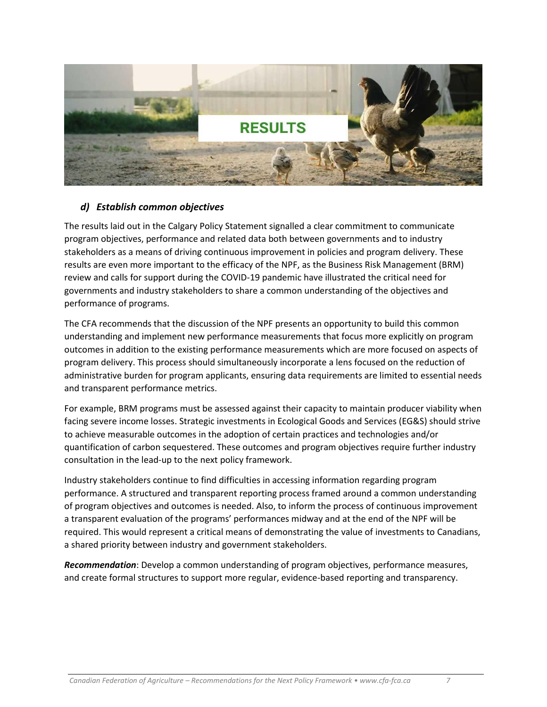

#### *d) Establish common objectives*

The results laid out in the Calgary Policy Statement signalled a clear commitment to communicate program objectives, performance and related data both between governments and to industry stakeholders as a means of driving continuous improvement in policies and program delivery. These results are even more important to the efficacy of the NPF, as the Business Risk Management (BRM) review and calls for support during the COVID-19 pandemic have illustrated the critical need for governments and industry stakeholders to share a common understanding of the objectives and performance of programs.

The CFA recommends that the discussion of the NPF presents an opportunity to build this common understanding and implement new performance measurements that focus more explicitly on program outcomes in addition to the existing performance measurements which are more focused on aspects of program delivery. This process should simultaneously incorporate a lens focused on the reduction of administrative burden for program applicants, ensuring data requirements are limited to essential needs and transparent performance metrics.

For example, BRM programs must be assessed against their capacity to maintain producer viability when facing severe income losses. Strategic investments in Ecological Goods and Services (EG&S) should strive to achieve measurable outcomes in the adoption of certain practices and technologies and/or quantification of carbon sequestered. These outcomes and program objectives require further industry consultation in the lead-up to the next policy framework.

Industry stakeholders continue to find difficulties in accessing information regarding program performance. A structured and transparent reporting process framed around a common understanding of program objectives and outcomes is needed. Also, to inform the process of continuous improvement a transparent evaluation of the programs' performances midway and at the end of the NPF will be required. This would represent a critical means of demonstrating the value of investments to Canadians, a shared priority between industry and government stakeholders.

*Recommendation*: Develop a common understanding of program objectives, performance measures, and create formal structures to support more regular, evidence-based reporting and transparency.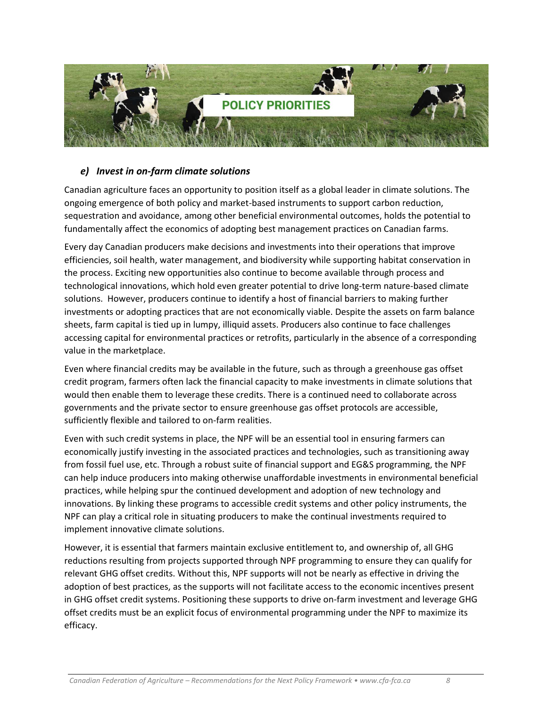

#### *e) Invest in on-farm climate solutions*

Canadian agriculture faces an opportunity to position itself as a global leader in climate solutions. The ongoing emergence of both policy and market-based instruments to support carbon reduction, sequestration and avoidance, among other beneficial environmental outcomes, holds the potential to fundamentally affect the economics of adopting best management practices on Canadian farms.

Every day Canadian producers make decisions and investments into their operations that improve efficiencies, soil health, water management, and biodiversity while supporting habitat conservation in the process. Exciting new opportunities also continue to become available through process and technological innovations, which hold even greater potential to drive long-term nature-based climate solutions. However, producers continue to identify a host of financial barriers to making further investments or adopting practices that are not economically viable. Despite the assets on farm balance sheets, farm capital is tied up in lumpy, illiquid assets. Producers also continue to face challenges accessing capital for environmental practices or retrofits, particularly in the absence of a corresponding value in the marketplace.

Even where financial credits may be available in the future, such as through a greenhouse gas offset credit program, farmers often lack the financial capacity to make investments in climate solutions that would then enable them to leverage these credits. There is a continued need to collaborate across governments and the private sector to ensure greenhouse gas offset protocols are accessible, sufficiently flexible and tailored to on-farm realities.

Even with such credit systems in place, the NPF will be an essential tool in ensuring farmers can economically justify investing in the associated practices and technologies, such as transitioning away from fossil fuel use, etc. Through a robust suite of financial support and EG&S programming, the NPF can help induce producers into making otherwise unaffordable investments in environmental beneficial practices, while helping spur the continued development and adoption of new technology and innovations. By linking these programs to accessible credit systems and other policy instruments, the NPF can play a critical role in situating producers to make the continual investments required to implement innovative climate solutions.

However, it is essential that farmers maintain exclusive entitlement to, and ownership of, all GHG reductions resulting from projects supported through NPF programming to ensure they can qualify for relevant GHG offset credits. Without this, NPF supports will not be nearly as effective in driving the adoption of best practices, as the supports will not facilitate access to the economic incentives present in GHG offset credit systems. Positioning these supports to drive on-farm investment and leverage GHG offset credits must be an explicit focus of environmental programming under the NPF to maximize its efficacy.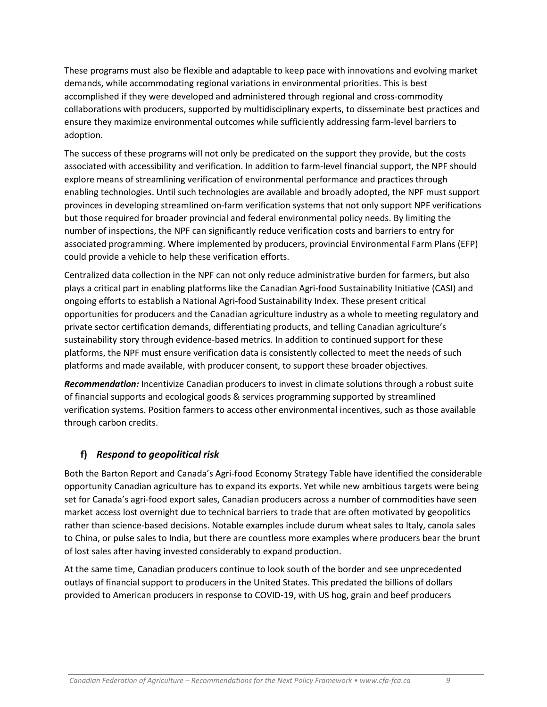These programs must also be flexible and adaptable to keep pace with innovations and evolving market demands, while accommodating regional variations in environmental priorities. This is best accomplished if they were developed and administered through regional and cross-commodity collaborations with producers, supported by multidisciplinary experts, to disseminate best practices and ensure they maximize environmental outcomes while sufficiently addressing farm-level barriers to adoption.

The success of these programs will not only be predicated on the support they provide, but the costs associated with accessibility and verification. In addition to farm-level financial support, the NPF should explore means of streamlining verification of environmental performance and practices through enabling technologies. Until such technologies are available and broadly adopted, the NPF must support provinces in developing streamlined on-farm verification systems that not only support NPF verifications but those required for broader provincial and federal environmental policy needs. By limiting the number of inspections, the NPF can significantly reduce verification costs and barriers to entry for associated programming. Where implemented by producers, provincial Environmental Farm Plans (EFP) could provide a vehicle to help these verification efforts.

Centralized data collection in the NPF can not only reduce administrative burden for farmers, but also plays a critical part in enabling platforms like the Canadian Agri-food Sustainability Initiative (CASI) and ongoing efforts to establish a National Agri-food Sustainability Index. These present critical opportunities for producers and the Canadian agriculture industry as a whole to meeting regulatory and private sector certification demands, differentiating products, and telling Canadian agriculture's sustainability story through evidence-based metrics. In addition to continued support for these platforms, the NPF must ensure verification data is consistently collected to meet the needs of such platforms and made available, with producer consent, to support these broader objectives.

*Recommendation:* Incentivize Canadian producers to invest in climate solutions through a robust suite of financial supports and ecological goods & services programming supported by streamlined verification systems. Position farmers to access other environmental incentives, such as those available through carbon credits.

## **f)** *Respond to geopolitical risk*

Both the Barton Report and Canada's Agri-food Economy Strategy Table have identified the considerable opportunity Canadian agriculture has to expand its exports. Yet while new ambitious targets were being set for Canada's agri-food export sales, Canadian producers across a number of commodities have seen market access lost overnight due to technical barriers to trade that are often motivated by geopolitics rather than science-based decisions. Notable examples include durum wheat sales to Italy, canola sales to China, or pulse sales to India, but there are countless more examples where producers bear the brunt of lost sales after having invested considerably to expand production.

At the same time, Canadian producers continue to look south of the border and see unprecedented outlays of financial support to producers in the United States. This predated the billions of dollars provided to American producers in response to COVID-19, with US hog, grain and beef producers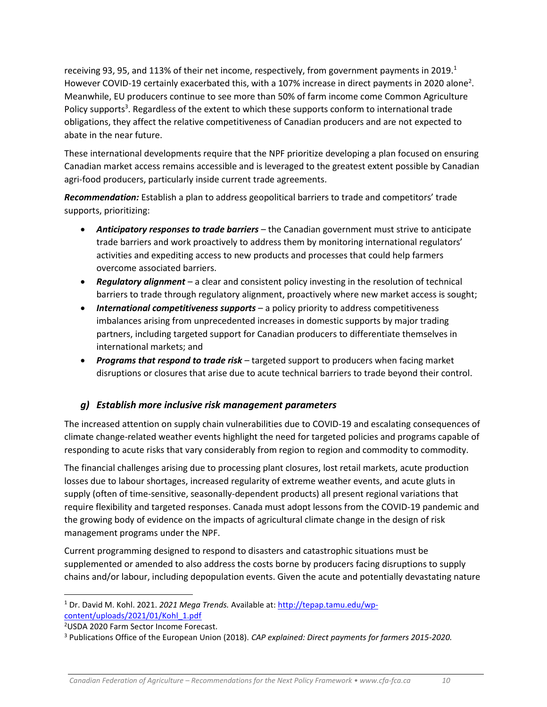receiving 93, 95, and 113% of their net income, respectively, from government payments in 2019.<sup>1</sup> However COVID-19 certainly exacerbated this, with a 107% increase in direct payments in 2020 alone<sup>2</sup>. Meanwhile, EU producers continue to see more than 50% of farm income come Common Agriculture Policy supports<sup>3</sup>. Regardless of the extent to which these supports conform to international trade obligations, they affect the relative competitiveness of Canadian producers and are not expected to abate in the near future.

These international developments require that the NPF prioritize developing a plan focused on ensuring Canadian market access remains accessible and is leveraged to the greatest extent possible by Canadian agri-food producers, particularly inside current trade agreements.

*Recommendation:* Establish a plan to address geopolitical barriers to trade and competitors' trade supports, prioritizing:

- *Anticipatory responses to trade barriers –* the Canadian government must strive to anticipate trade barriers and work proactively to address them by monitoring international regulators' activities and expediting access to new products and processes that could help farmers overcome associated barriers.
- *Regulatory alignment* a clear and consistent policy investing in the resolution of technical barriers to trade through regulatory alignment, proactively where new market access is sought;
- *International competitiveness supports* a policy priority to address competitiveness imbalances arising from unprecedented increases in domestic supports by major trading partners, including targeted support for Canadian producers to differentiate themselves in international markets; and
- *Programs that respond to trade risk* targeted support to producers when facing market disruptions or closures that arise due to acute technical barriers to trade beyond their control.

## *g) Establish more inclusive risk management parameters*

The increased attention on supply chain vulnerabilities due to COVID-19 and escalating consequences of climate change-related weather events highlight the need for targeted policies and programs capable of responding to acute risks that vary considerably from region to region and commodity to commodity.

The financial challenges arising due to processing plant closures, lost retail markets, acute production losses due to labour shortages, increased regularity of extreme weather events, and acute gluts in supply (often of time-sensitive, seasonally-dependent products) all present regional variations that require flexibility and targeted responses. Canada must adopt lessons from the COVID-19 pandemic and the growing body of evidence on the impacts of agricultural climate change in the design of risk management programs under the NPF.

Current programming designed to respond to disasters and catastrophic situations must be supplemented or amended to also address the costs borne by producers facing disruptions to supply chains and/or labour, including depopulation events. Given the acute and potentially devastating nature

<sup>1</sup> Dr. David M. Kohl. 2021. *2021 Mega Trends.* Available at: [http://tepap.tamu.edu/wp](http://tepap.tamu.edu/wp-content/uploads/2021/01/Kohl_1.pdf)[content/uploads/2021/01/Kohl\\_1.pdf](http://tepap.tamu.edu/wp-content/uploads/2021/01/Kohl_1.pdf)

<sup>2</sup>USDA 2020 Farm Sector Income Forecast.

<sup>3</sup> Publications Office of the European Union (2018). *CAP explained: Direct payments for farmers 2015-2020.*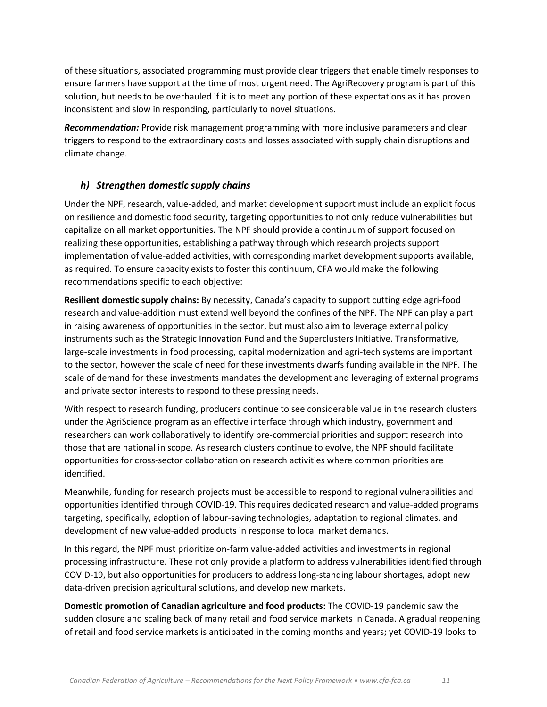of these situations, associated programming must provide clear triggers that enable timely responses to ensure farmers have support at the time of most urgent need. The AgriRecovery program is part of this solution, but needs to be overhauled if it is to meet any portion of these expectations as it has proven inconsistent and slow in responding, particularly to novel situations.

*Recommendation:* Provide risk management programming with more inclusive parameters and clear triggers to respond to the extraordinary costs and losses associated with supply chain disruptions and climate change.

## *h) Strengthen domestic supply chains*

Under the NPF, research, value-added, and market development support must include an explicit focus on resilience and domestic food security, targeting opportunities to not only reduce vulnerabilities but capitalize on all market opportunities. The NPF should provide a continuum of support focused on realizing these opportunities, establishing a pathway through which research projects support implementation of value-added activities, with corresponding market development supports available, as required. To ensure capacity exists to foster this continuum, CFA would make the following recommendations specific to each objective:

**Resilient domestic supply chains:** By necessity, Canada's capacity to support cutting edge agri-food research and value-addition must extend well beyond the confines of the NPF. The NPF can play a part in raising awareness of opportunities in the sector, but must also aim to leverage external policy instruments such as the Strategic Innovation Fund and the Superclusters Initiative. Transformative, large-scale investments in food processing, capital modernization and agri-tech systems are important to the sector, however the scale of need for these investments dwarfs funding available in the NPF. The scale of demand for these investments mandates the development and leveraging of external programs and private sector interests to respond to these pressing needs.

With respect to research funding, producers continue to see considerable value in the research clusters under the AgriScience program as an effective interface through which industry, government and researchers can work collaboratively to identify pre-commercial priorities and support research into those that are national in scope. As research clusters continue to evolve, the NPF should facilitate opportunities for cross-sector collaboration on research activities where common priorities are identified.

Meanwhile, funding for research projects must be accessible to respond to regional vulnerabilities and opportunities identified through COVID-19. This requires dedicated research and value-added programs targeting, specifically, adoption of labour-saving technologies, adaptation to regional climates, and development of new value-added products in response to local market demands.

In this regard, the NPF must prioritize on-farm value-added activities and investments in regional processing infrastructure. These not only provide a platform to address vulnerabilities identified through COVID-19, but also opportunities for producers to address long-standing labour shortages, adopt new data-driven precision agricultural solutions, and develop new markets.

**Domestic promotion of Canadian agriculture and food products:** The COVID-19 pandemic saw the sudden closure and scaling back of many retail and food service markets in Canada. A gradual reopening of retail and food service markets is anticipated in the coming months and years; yet COVID-19 looks to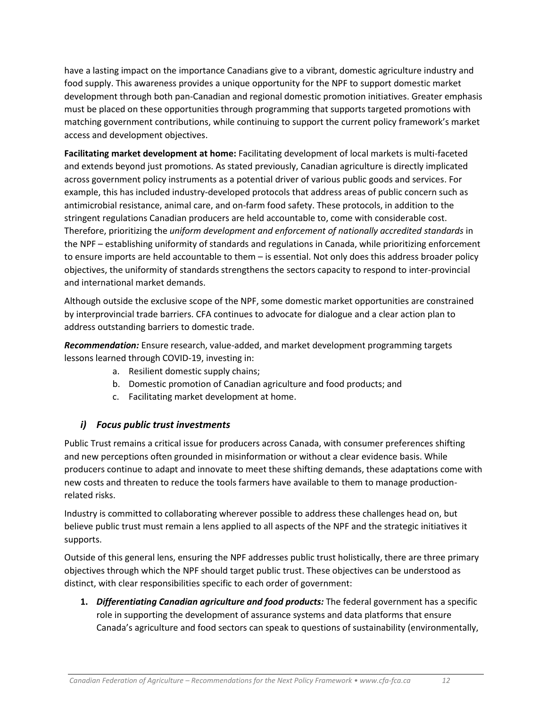have a lasting impact on the importance Canadians give to a vibrant, domestic agriculture industry and food supply. This awareness provides a unique opportunity for the NPF to support domestic market development through both pan-Canadian and regional domestic promotion initiatives. Greater emphasis must be placed on these opportunities through programming that supports targeted promotions with matching government contributions, while continuing to support the current policy framework's market access and development objectives.

**Facilitating market development at home:** Facilitating development of local markets is multi-faceted and extends beyond just promotions. As stated previously, Canadian agriculture is directly implicated across government policy instruments as a potential driver of various public goods and services. For example, this has included industry-developed protocols that address areas of public concern such as antimicrobial resistance, animal care, and on-farm food safety. These protocols, in addition to the stringent regulations Canadian producers are held accountable to, come with considerable cost. Therefore, prioritizing the *uniform development and enforcement of nationally accredited standards* in the NPF – establishing uniformity of standards and regulations in Canada, while prioritizing enforcement to ensure imports are held accountable to them – is essential. Not only does this address broader policy objectives, the uniformity of standards strengthens the sectors capacity to respond to inter-provincial and international market demands.

Although outside the exclusive scope of the NPF, some domestic market opportunities are constrained by interprovincial trade barriers. CFA continues to advocate for dialogue and a clear action plan to address outstanding barriers to domestic trade.

*Recommendation:* Ensure research, value-added, and market development programming targets lessons learned through COVID-19, investing in:

- a. Resilient domestic supply chains;
- b. Domestic promotion of Canadian agriculture and food products; and
- c. Facilitating market development at home.

#### *i) Focus public trust investments*

Public Trust remains a critical issue for producers across Canada, with consumer preferences shifting and new perceptions often grounded in misinformation or without a clear evidence basis. While producers continue to adapt and innovate to meet these shifting demands, these adaptations come with new costs and threaten to reduce the tools farmers have available to them to manage productionrelated risks.

Industry is committed to collaborating wherever possible to address these challenges head on, but believe public trust must remain a lens applied to all aspects of the NPF and the strategic initiatives it supports.

Outside of this general lens, ensuring the NPF addresses public trust holistically, there are three primary objectives through which the NPF should target public trust. These objectives can be understood as distinct, with clear responsibilities specific to each order of government:

**1.** *Differentiating Canadian agriculture and food products:* The federal government has a specific role in supporting the development of assurance systems and data platforms that ensure Canada's agriculture and food sectors can speak to questions of sustainability (environmentally,